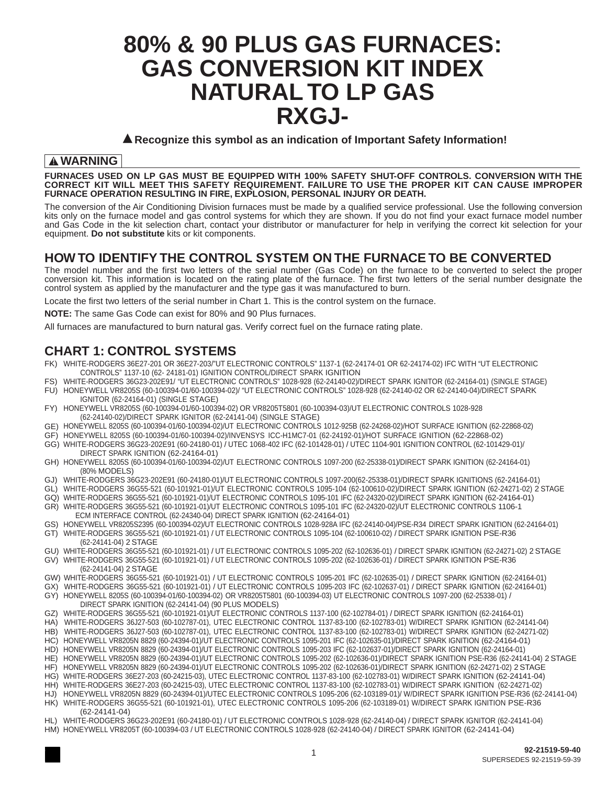# **80% & 90 PLUS GAS FURNACES: GAS CONVERSION KIT INDEX NATURAL TO LP GAS RXGJ-**

▲**Recognize this symbol as an indication of Important Safety Information!**

#### ! **WARNING**

**FURNACES USED ON LP GAS MUST BE EQUIPPED WITH 100% SAFETY SHUT-OFF CONTROLS. CONVERSION WITH THE CORRECT KIT WILL MEET THIS SAFETY REQUIREMENT. FAILURE TO USE THE PROPER KIT CAN CAUSE IMPROPER FURNACE OPERATION RESULTING IN FIRE, EXPLOSION, PERSONAL INJURY OR DEATH.**

The conversion of the Air Conditioning Division furnaces must be made by a qualified service professional. Use the following conversion kits only on the furnace model and gas control systems for which they are shown. If you do not find your exact furnace model number and Gas Code in the kit selection chart, contact your distributor or manufacturer for help in verifying the correct kit selection for your equipment. **Do not substitute** kits or kit components.

### **HOW TO IDENTIFY THE CONTROL SYSTEM ON THE FURNACE TO BE CONVERTED**

The model number and the first two letters of the serial number (Gas Code) on the furnace to be converted to select the proper conversion kit. This information is located on the rating plate of the furnace. The first two letters of the serial number designate the control system as applied by the manufacturer and the type gas it was manufactured to burn.

Locate the first two letters of the serial number in Chart 1. This is the control system on the furnace.

**NOTE:** The same Gas Code can exist for 80% and 90 Plus furnaces.

All furnaces are manufactured to burn natural gas. Verify correct fuel on the furnace rating plate.

### **CHART 1: CONTROL SYSTEMS**

- FK) WHITE-RODGERS 36E27-201 OR 36E27-203/"UT ELECTRONIC CONTROLS" 1137-1 (62-24174-01 OR 62-24174-02) IFC WITH "UT ELECTRONIC CONTROLS" 1137-10 (62- 24181-01) IGNITION CONTROL/DIRECT SPARK IGNITION
- FS) WHITE-RODGERS 36G23-202E91/ "UT ELECTRONIC CONTROLS" 1028-928 (62-24140-02)/DIRECT SPARK IGNITOR (62-24164-01) (SINGLE STAGE)
- FU) HONEYWELL VR8205S (60-100394-01/60-100394-02)/ "UT ELECTRONIC CONTROLS" 1028-928 (62-24140-02 OR 62-24140-04)/DIRECT SPARK IGNITOR (62-24164-01) (SINGLE STAGE)
- FY) HONEYWELL VR8205S (60-100394-01/60-100394-02) OR VR8205T5801 (60-100394-03)/UT ELECTRONIC CONTROLS 1028-928 (62-24140-02)/DIRECT SPARK IGNITOR (62-24141-04) (SINGLE STAGE)
- GE) HONEYWELL 8205S (60-100394-01/60-100394-02)/UT ELECTRONIC CONTROLS 1012-925B (62-24268-02)/HOT SURFACE IGNITION (62-22868-02)
- GF) HONEYWELL 8205S (60-100394-01/60-100394-02)/INVENSYS ICC-H1MC7-01 (62-24192-01)/HOT SURFACE IGNITION (62-22868-02) GG) WHITE-RODGERS 36G23-202E91 (60-24180-01) / UTEC 1068-402 IFC (62-101428-01) / UTEC 1104-901 IGNITION CONTROL (62-101429-01)/
- DIRECT SPARK IGNITION (62-24164-01) GH) HONEYWELL 8205S (60-100394-01/60-100394-02)/UT ELECTRONIC CONTROLS 1097-200 (62-25338-01)/DIRECT SPARK IGNITION (62-24164-01) (80% MODELS)
- GJ) WHITE-RODGERS 36G23-202E91 (60-24180-01)/UT ELECTRONIC CONTROLS 1097-200(62-25338-01)/DIRECT SPARK IGNITIONS (62-24164-01)
- GL) WHITE-RODGERS 36G55-521 (60-101921-01)/UT ELECTRONIC CONTROLS 1095-104 (62-100610-02)/DIRECT SPARK IGNITION (62-24271-02) 2 STAGE
- GQ) WHITE-RODGERS 36G55-521 (60-101921-01)/UT ELECTRONIC CONTROLS 1095-101 IFC (62-24320-02)/DIRECT SPARK IGNITION (62-24164-01) GR) WHITE-RODGERS 36G55-521 (60-101921-01)/UT ELECTRONIC CONTROLS 1095-101 IFC (62-24320-02)/UT ELECTRONIC CONTROLS 1106-1
- ECM INTERFACE CONTROL (62-24340-04) DIRECT SPARK IGNITION (62-24164-01) GS) HONEYWELL VR8205S2395 (60-100394-02)/UT ELECTRONIC CONTROLS 1028-928A IFC (62-24140-04)/PSE-R34 DIRECT SPARK IGNITION (62-24164-01)
- GT) WHITE-RODGERS 36G55-521 (60-101921-01) / UT ELECTRONIC CONTROLS 1095-104 (62-100610-02) / DIRECT SPARK IGNITION PSE-R36 (62-24141-04) 2 STAGE
- GU) WHITE-RODGERS 36G55-521 (60-101921-01) / UT ELECTRONIC CONTROLS 1095-202 (62-102636-01) / DIRECT SPARK IGNITION (62-24271-02) 2 STAGE GV) WHITE-RODGERS 36G55-521 (60-101921-01) / UT ELECTRONIC CONTROLS 1095-202 (62-102636-01) / DIRECT SPARK IGNITION PSE-R36 (62-24141-04) 2 STAGE
- GW) WHITE-RODGERS 36G55-521 (60-101921-01) / UT ELECTRONIC CONTROLS 1095-201 IFC (62-102635-01) / DIRECT SPARK IGNITION (62-24164-01)
- GX) WHITE-RODGERS 36G55-521 (60-101921-01) / UT ELECTRONIC CONTROLS 1095-203 IFC (62-102637-01) / DIRECT SPARK IGNITION (62-24164-01)
- GY) HONEYWELL 8205S (60-100394-01/60-100394-02) OR VR8205T5801 (60-100394-03) UT ELECTRONIC CONTROLS 1097-200 (62-25338-01) / DIRECT SPARK IGNITION (62-24141-04) (90 PLUS MODELS)
- GZ) WHITE-RODGERS 36G55-521 (60-101921-01)/UT ELECTRONIC CONTROLS 1137-100 (62-102784-01) / DIRECT SPARK IGNITION (62-24164-01)
- HA) WHITE-RODGERS 36J27-503 (60-102787-01), UTEC ELECTRONIC CONTROL 1137-83-100 (62-102783-01) W/DIRECT SPARK IGNITION (62-24141-04)
- HB) WHITE-RODGERS 36J27-503 (60-102787-01), UTEC ELECTRONIC CONTROL 1137-83-100 (62-102783-01) W/DIRECT SPARK IGNITION (62-24271-02)
- HC) HONEYWELL VR8205N 8829 (60-24394-01)/UT ELECTRONIC CONTROLS 1095-201 IFC (62-102635-01)/DIRECT SPARK IGNITION (62-24164-01) HD) HONEYWELL VR8205N 8829 (60-24394-01)/UT ELECTRONIC CONTROLS 1095-203 IFC (62-102637-01)/DIRECT SPARK IGNITION (62-24164-01)
- HE) HONEYWELL VR8205N 8829 (60-24394-01)/UT ELECTRONIC CONTROLS 1095-202 (62-102636-01)/DIRECT SPARK IGNITION PSE-R36 (62-24141-04) 2 STAGE
- HF) HONEYWELL VR8205N 8829 (60-24394-01)/UT ELECTRONIC CONTROLS 1095-202 (62-102636-01)/DIRECT SPARK IGNITION (62-24271-02) 2 STAGE
- HG) WHITE-RODGERS 36E27-203 (60-24215-03), UTEC ELECTRONIC CONTROL 1137-83-100 (62-102783-01) W/DIRECT SPARK IGNITION (62-24141-04)
- HH) WHITE-RODGERS 36E27-203 (60-24215-03), UTEC ELECTRONIC CONTROL 1137-83-100 (62-102783-01) W/DIRECT SPARK IGNITION (62-24271-02)
- HJ) HONEYWELL VR8205N 8829 (60-24394-01)/UTEC ELECTRONIC CONTROLS 1095-206 (62-103189-01)/ W/DIRECT SPARK IGNITION PSE-R36 (62-24141-04) HK) WHITE-RODGERS 36G55-521 (60-101921-01), UTEC ELECTRONIC CONTROLS 1095-206 (62-103189-01) W/DIRECT SPARK IGNITION PSE-R36 (62-24141-04)
- HL) WHITE-RODGERS 36G23-202E91 (60-24180-01) / UT ELECTRONIC CONTROLS 1028-928 (62-24140-04) / DIRECT SPARK IGNITOR (62-24141-04)
- HM) HONEYWELL VR8205T (60-100394-03 / UT ELECTRONIC CONTROLS 1028-928 (62-24140-04) / DIRECT SPARK IGNITOR (62-24141-04)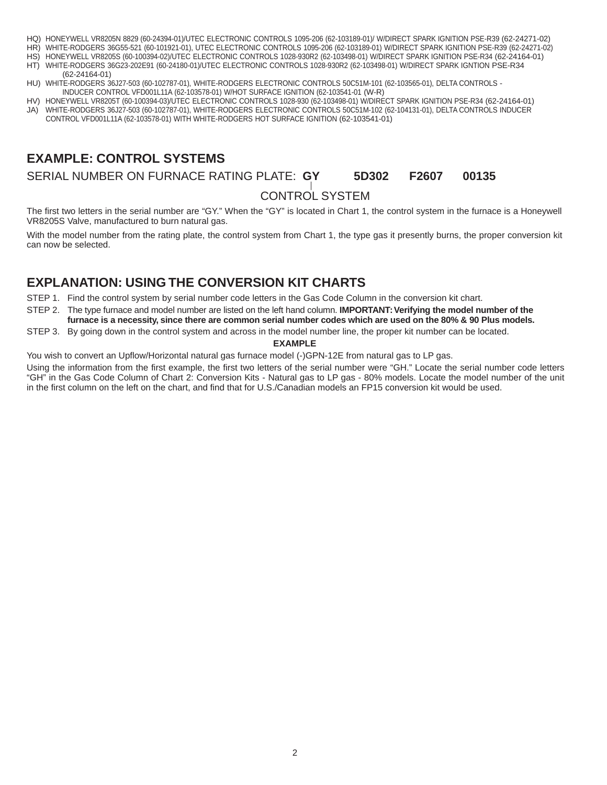- HQ) HONEYWELL VR8205N 8829 (60-24394-01)/UTEC ELECTRONIC CONTROLS 1095-206 (62-103189-01)/ W/DIRECT SPARK IGNITION PSE-R39 (62-24271-02)
- HR) WHITE-RODGERS 36G55-521 (60-101921-01), UTEC ELECTRONIC CONTROLS 1095-206 (62-103189-01) W/DIRECT SPARK IGNITION PSE-R39 (62-24271-02)
- HS) HONEYWELL VR8205S (60-100394-02)/UTEC ELECTRONIC CONTROLS 1028-930R2 (62-103498-01) W/DIRECT SPARK IGNITION PSE-R34 (62-24164-01) HT) WHITE-RODGERS 36G23-202E91 (60-24180-01)/UTEC ELECTRONIC CONTROLS 1028-930R2 (62-103498-01) W/DIRECT SPARK IGNTION PSE-R34
- (62-24164-01) HU) WHITE-RODGERS 36J27-503 (60-102787-01), WHITE-RODGERS ELECTRONIC CONTROLS 50C51M-101 (62-103565-01), DELTA CONTROLS -
- INDUCER CONTROL VFD001L11A (62-103578-01) W/HOT SURFACE IGNITION (62-103541-01 (W-R)
- HV) HONEYWELL VR8205T (60-100394-03)/UTEC ELECTRONIC CONTROLS 1028-930 (62-103498-01) W/DIRECT SPARK IGNITION PSE-R34 (62-24164-01) JA) WHITE-RODGERS 36J27-503 (60-102787-01), WHITE-RODGERS ELECTRONIC CONTROLS 50C51M-102 (62-104131-01), DELTA CONTROLS INDUCER
- CONTROL VFD001L11A (62-103578-01) WITH WHITE-RODGERS HOT SURFACE IGNITION (62-103541-01)

### **EXAMPLE: CONTROL SYSTEMS**

SERIAL NUMBER ON FURNACE RATING PLATE: **GY 5D302 F2607 00135**

### CONTROL SYSTEM

The first two letters in the serial number are "GY." When the "GY" is located in Chart 1, the control system in the furnace is a Honeywell VR8205S Valve, manufactured to burn natural gas.

With the model number from the rating plate, the control system from Chart 1, the type gas it presently burns, the proper conversion kit can now be selected.

### **EXPLANATION: USING THE CONVERSION KIT CHARTS**

STEP 1. Find the control system by serial number code letters in the Gas Code Column in the conversion kit chart.

STEP 2. The type furnace and model number are listed on the left hand column. **IMPORTANT: Verifying the model number of the furnace is a necessity, since there are common serial number codes which are used on the 80% & 90 Plus models.**

STEP 3. By going down in the control system and across in the model number line, the proper kit number can be located.

#### **EXAMPLE**

You wish to convert an Upflow/Horizontal natural gas furnace model (-)GPN-12E from natural gas to LP gas.

Using the information from the first example, the first two letters of the serial number were "GH." Locate the serial number code letters "GH" in the Gas Code Column of Chart 2: Conversion Kits - Natural gas to LP gas - 80% models. Locate the model number of the unit in the first column on the left on the chart, and find that for U.S./Canadian models an FP15 conversion kit would be used.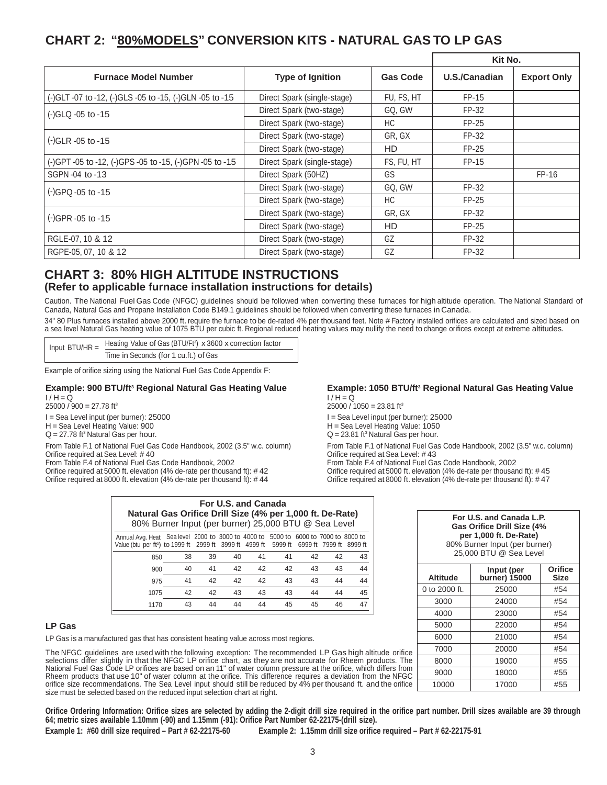### **CHART 2: "80% MODELS" CONVERSION KITS - NATURAL GAS TO LP GAS**

|                                                         |                             |                 | Kit No.       |                    |
|---------------------------------------------------------|-----------------------------|-----------------|---------------|--------------------|
| <b>Furnace Model Number</b>                             | <b>Type of Ignition</b>     | <b>Gas Code</b> | U.S./Canadian | <b>Export Only</b> |
| (-)GLT -07 to -12, (-)GLS -05 to -15, (-)GLN -05 to -15 | Direct Spark (single-stage) | FU. FS. HT      | $FP-15$       |                    |
| (-)GLQ -05 to -15                                       | Direct Spark (two-stage)    | GQ, GW          | FP-32         |                    |
|                                                         | Direct Spark (two-stage)    | HC.             | $FP-25$       |                    |
| $(-)$ GLR $-05$ to $-15$                                | Direct Spark (two-stage)    | GR, GX          | FP-32         |                    |
|                                                         | Direct Spark (two-stage)    | HD              | $FP-25$       |                    |
| (-)GPT -05 to -12, (-)GPS -05 to -15, (-)GPN -05 to -15 | Direct Spark (single-stage) | FS, FU, HT      | $FP-15$       |                    |
| SGPN-04 to-13                                           | Direct Spark (50HZ)         | GS              |               | $FP-16$            |
| (-)GPQ -05 to -15                                       | Direct Spark (two-stage)    | GQ, GW          | FP-32         |                    |
|                                                         | Direct Spark (two-stage)    | HC              | $FP-25$       |                    |
| $(-)$ GPR $-05$ to $-15$                                | Direct Spark (two-stage)    | GR, GX          | FP-32         |                    |
|                                                         | Direct Spark (two-stage)    | HD              | $FP-25$       |                    |
| RGLE-07, 10 & 12                                        | Direct Spark (two-stage)    | GZ              | FP-32         |                    |
| RGPE-05, 07, 10 & 12                                    | Direct Spark (two-stage)    | GZ              | FP-32         |                    |

### **CHART 3: 80% HIGH ALTITUDE INSTRUCTIONS (Refer to applicable furnace installation instructions for details)**

Caution. The National Fuel Gas Code (NFGC) guidelines should be followed when converting these furnaces for high altitude operation. The National Standard of Canada, Natural Gas and Propane Installation Code B149.1 guidelines should be followed when converting these furnaces in Canada.

34" 80 Plus furnaces installed above 2000 ft. require the furnace to be de-rated 4% per thousand feet. Note # Factory installed orifices are calculated and sized based on a sea level Natural Gas heating value of 1075 BTU per cubic ft. Regional reduced heating values may nullify the need to change orifices except at extreme altitudes.

 $I/H = \dot{Q}$ 

 $25000 / 1050 = 23.81$  ft<sup>3</sup>

Input BTU/HR = Heating Value of Gas (BTU/Ft<sup>3</sup>) x 3600 x correction factor Time in Seconds (for 1 cu.ft.) of Gas

Example of orifice sizing using the National Fuel Gas Code Appendix F:

#### **Example: 900 BTU/ft3 Regional Natural Gas Heating Value**

 $I/H = \dot{Q}$  $25000 / 900 = 27.78$  ft<sup>3</sup> I = Sea Level input (per burner): 25000 H = Sea Level Heating Value: 900

 $Q = 27.78$  ft<sup>3</sup> Natural Gas per hour.

From Table F.1 of National Fuel Gas Code Handbook, 2002 (3.5" w.c. column) Orifice required at Sea Level: # 40

From Table F.4 of National Fuel Gas Code Handbook, 2002

Orifice required at 5000 ft. elevation (4% de-rate per thousand ft): # 42 Orifice required at 8000 ft. elevation  $(4%$  de-rate per thousand ft): #44 I = Sea Level input (per burner): 25000 H = Sea Level Heating Value: 1050  $Q = 23.81$  ft<sup>3</sup> Natural Gas per hour.

> From Table F.1 of National Fuel Gas Code Handbook, 2002 (3.5" w.c. column) Orifice required at Sea Level: # 43 From Table F.4 of National Fuel Gas Code Handbook, 2002 Orifice required at 5000 ft. elevation (4% de-rate per thousand ft): # 45 Orifice required at 8000 ft. elevation  $(4\%$  de-rate per thousand ft): #47

> **Example: 1050 BTU/ft3 Regional Natural Gas Heating Value**

| For U.S. and Canada<br>Natural Gas Orifice Drill Size (4% per 1,000 ft. De-Rate)<br>80% Burner Input (per burner) 25,000 BTU @ Sea Level                                                  |    |    |    |    |    |    |    |    |
|-------------------------------------------------------------------------------------------------------------------------------------------------------------------------------------------|----|----|----|----|----|----|----|----|
| Annual Avg. Heat Sea level 2000 to 3000 to 4000 to 5000 to 6000 to 7000 to 8000 to<br>Value (btu per ft <sup>3</sup> ) to 1999 ft 2999 ft 3999 ft 4999 ft 5999 ft 6999 ft 7999 ft 8999 ft |    |    |    |    |    |    |    |    |
| 850                                                                                                                                                                                       | 38 | 39 | 40 | 41 | 41 | 42 | 42 | 43 |
| 900                                                                                                                                                                                       | 40 | 41 | 42 | 42 | 42 | 43 | 43 | 44 |
| 975                                                                                                                                                                                       | 41 | 42 | 42 | 42 | 43 | 43 | 44 | 44 |
| 1075                                                                                                                                                                                      | 42 | 42 | 43 | 43 | 43 | 44 | 44 | 45 |

1170 43 44 44 44 45 45 46 47

#### **per 1,000 ft. De-Rate)** 80% Burner Input (per burner) 25,000 BTU @ Sea Level **Altitude Input (per burner) 15000 Orifice Size** 0 to 2000 ft. 25000 #54 3000 24000 #54 4000 23000 #54 5000 22000 #54 6000 21000 #54 7000 20000 #54 8000 19000 #55 9000 18000 #55

10000 17000 #55

**For U.S. and Canada L.P. Gas Orifice Drill Size (4%** 

#### **LP Gas**

LP Gas is a manufactured gas that has consistent heating value across most regions.

The NFGC guidelines are used with the following exception: The recommended LP Gas high altitude orifice selections differ slightly in that the NFGC LP orifice chart, as they are not accurate for Rheem products. The<br>National Fuel Gas Code LP orifices are based on an 11" of water column pressure at the orifice, which differs f Rheem products that use 10" of water column at the orifice. This difference requires a deviation from the NFGC orifice size recommendations. The Sea Level input should still be reduced by 4% per thousand ft. and the orifice size must be selected based on the reduced input selection chart at right.

**Orifice Ordering Information: Orifice sizes are selected by adding the 2-digit drill size required in the orifice part number. Drill sizes available are 39 through 64; metric sizes available 1.10mm (-90) and 1.15mm (-91): Orifice Part Number 62-22175-(drill size).**

**Example 1: #60 drill size required – Part # 62-22175-60 Example 2: 1.15mm drill size orifice required – Part # 62-22175-91**

#### 3